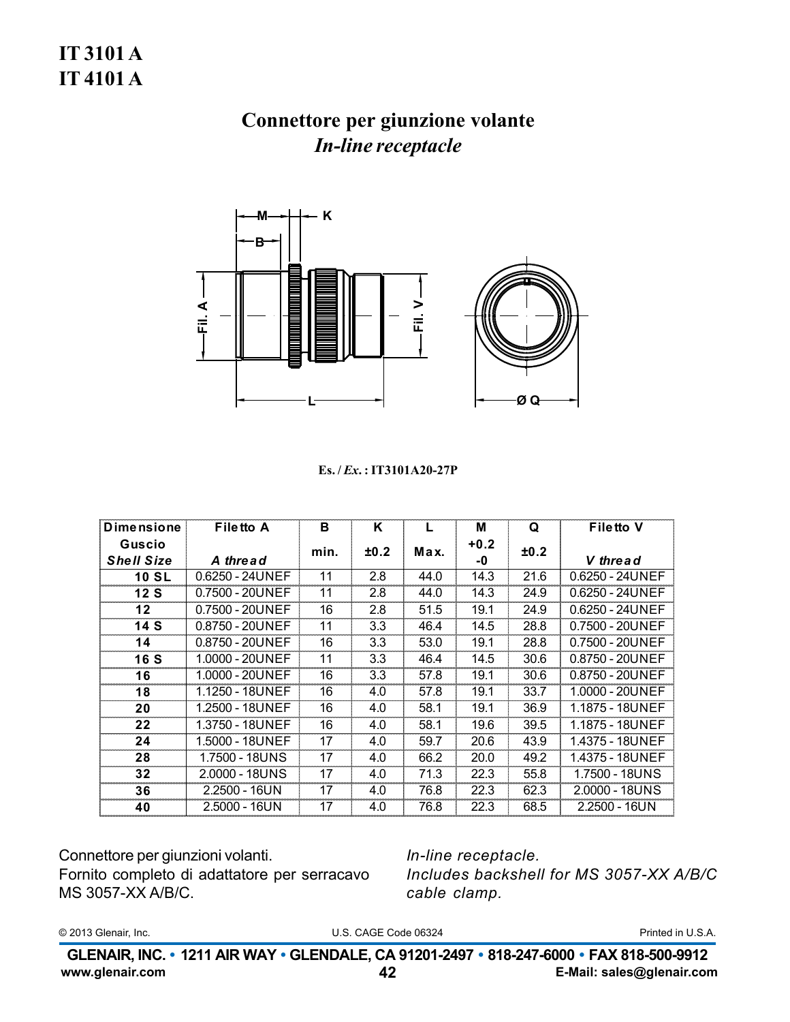## Connettore per giunzione volante **In-line receptacle**



#### Es./*Ex.*: IT3101A20-27P

| <b>Dimensione</b> | <b>Filetto A</b>         | в    | Κ    |      | М      | Q    | <b>Filetto V</b>  |
|-------------------|--------------------------|------|------|------|--------|------|-------------------|
| Guscio            |                          |      | ±0.2 | Max. | $+0.2$ | ±0.2 |                   |
| <b>Shell Size</b> | A thread                 | min. |      |      | -0     |      | V thread          |
| <b>10 SL</b>      | 0.6250 - 24UNEF          | 11   | 2.8  | 44.0 | 14.3   | 21.6 | $0.6250 - 24UNEF$ |
| 12S               | 0.7500 - 20UNEF          | 11   | 2.8  | 44.0 | 14.3   | 24.9 | $0.6250 - 24UNEF$ |
| 12                | 0.7500 - 20UNEF          | 16   | 2.8  | 51.5 | 19.1   | 24.9 | $0.6250 - 24UNEF$ |
| 14S               | 0.8750 - 20UNEF          | 11   | 3.3  | 46.4 | 14.5   | 28.8 | 0.7500 - 20UNEF   |
| 14                | 0.8750 - 20UNEF          | 16   | 3.3  | 53.0 | 19.1   | 28.8 | 0.7500 - 20UNEF   |
| <b>16 S</b>       | 1.0000 - 20UNEF          | 11   | 3.3  | 46.4 | 14.5   | 30.6 | 0.8750 - 20UNEF   |
| 16                | 1.0000 - 20UNEF          | 16   | 3.3  | 57.8 | 19.1   | 30.6 | 0.8750 - 20UNEF   |
| 18                | 1.1250 - 18UNEF          | 16   | 4.0  | 57.8 | 19.1   | 33.7 | 1.0000 - 20UNEF   |
| 20                | 1.2500 - 18UNEF          | 16   | 4.0  | 58.1 | 19.1   | 36.9 | 1.1875 - 18UNEF   |
| 22                | 1.3750 - 18UNEF          | 16   | 4.0  | 58.1 | 19.6   | 39.5 | 1.1875 - 18UNEF   |
| 24                | 1.5000 - 18UNEF          | 17   | 4.0  | 59.7 | 20.6   | 43.9 | 1.4375 - 18UNEF   |
| 28                | 1.7500 - 18UNS           | 17   | 4.0  | 66.2 | 20.0   | 49.2 | 1.4375 - 18UNEF   |
| 32                | $2.0000 - 18 \text{UNS}$ | 17   | 4.0  | 71.3 | 22.3   | 55.8 | 1.7500 - 18UNS    |
| 36                | $2.2500 - 16UN$          | 17   | 4.0  | 76.8 | 22.3   | 62.3 | 2.0000 - 18UNS    |
| 40                | $2.5000 - 16UN$          | 17   | 4.0  | 76.8 | 22.3   | 68.5 | 2.2500 - 16UN     |

Connettore per giunzioni volanti. Fornito completo di adattatore per serracavo MS 3057-XX A/B/C.

In-line receptacle. Includes backshell for MS 3057-XX A/B/C cable clamp.

© 2013 Glenair, Inc.

U.S. CAGE Code 06324

Printed in U.S.A.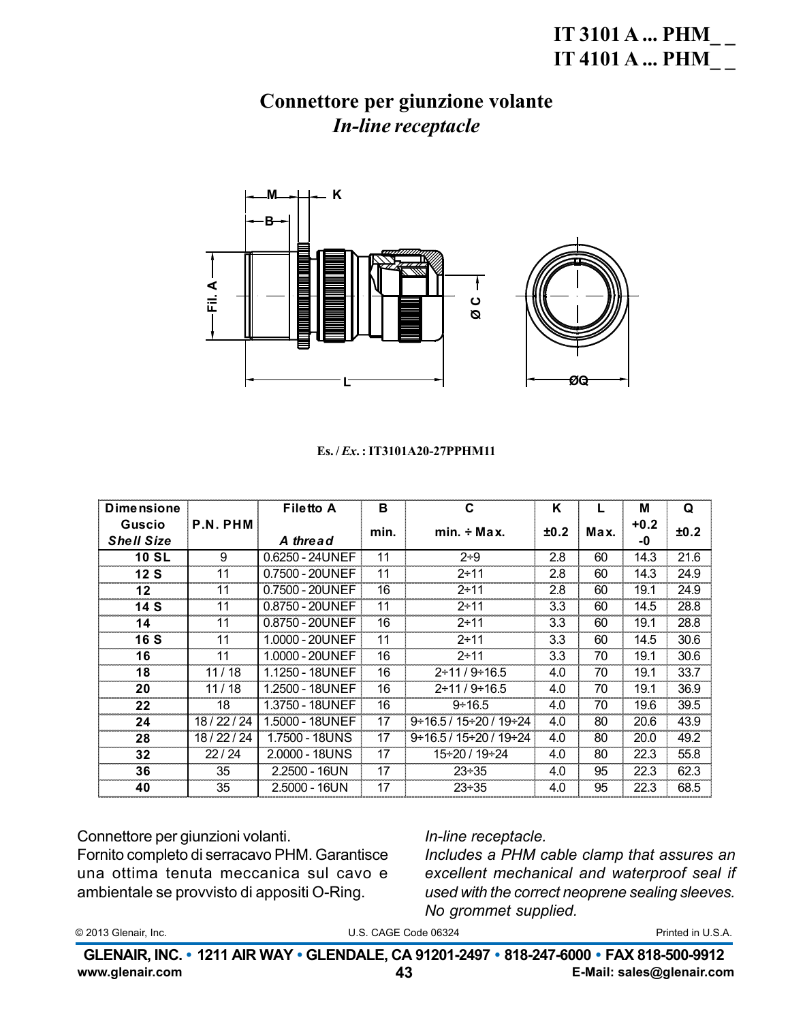## **IT 3101 A ... PHM IT 4101 A ... PHM**

### Connettore per giunzione volante **In-line receptacle**



#### Es./*Ex.*: IT3101A20-27PPHM11

| <b>Dimensione</b> |              | <b>Filetto A</b> | B    | C                                       | K    |      | м      | Q    |
|-------------------|--------------|------------------|------|-----------------------------------------|------|------|--------|------|
| Guscio            | P.N. PHM     |                  | min. | $min. \div Max.$                        | ±0.2 | Max. | $+0.2$ | ±0.2 |
| <b>Shell Size</b> |              | A thread         |      |                                         |      |      | -0     |      |
| <b>10 SL</b>      | 9            | 0.6250 - 24UNEF  | 11   | $2 + 9$                                 | 2.8  | 60   | 14.3   | 21.6 |
| 12S               | 11           | 0.7500 - 20UNEF  | 11   | $2 + 11$                                | 2.8  | 60   | 14.3   | 24.9 |
| 12 <sub>2</sub>   | 11           | 0.7500 - 20UNEF  | 16   | $2 + 11$                                | 2.8  | 60   | 19.1   | 24.9 |
| 14 S              | 11           | 0.8750 - 20UNEF  | 11   | $2 + 11$                                | 3.3  | 60   | 14.5   | 28.8 |
| 14                | 11           | 0.8750 - 20UNEF  | 16   | $2 + 11$                                | 3.3  | 60   | 19.1   | 28.8 |
| <b>16 S</b>       | 11           | 1.0000 - 20UNEF  | 11   | $2 + 11$                                | 3.3  | 60   | 14.5   | 30.6 |
| 16                | 11           | 1.0000 - 20UNEF  | 16   | $2 + 11$                                | 3.3  | 70   | 19.1   | 30.6 |
| 18                | 11/18        | 1.1250 - 18UNEF  | 16   | $2 \div 11 / 9 \div 16.5$               | 4.0  | 70   | 19.1   | 33.7 |
| 20                | 11/18        | 1.2500 - 18UNEF  | 16   | $2 \div 11/9 \div 16.5$                 | 4.0  | 70   | 19.1   | 36.9 |
| 22                | 18           | 1.3750 - 18UNEF  | 16   | $9 \div 16.5$                           | 4.0  | 70   | 19.6   | 39.5 |
| 24                | 18 / 22 / 24 | 1.5000 - 18UNEF  | 17   | $9 \div 16.5 / 15 \div 20 / 19 \div 24$ | 4.0  | 80   | 20.6   | 43.9 |
| 28                | 18 / 22 / 24 | 1.7500 - 18UNS   | 17   | $9 \div 16.5 / 15 \div 20 / 19 \div 24$ | 4.0  | 80   | 20.0   | 49.2 |
| 32                | 22/24        | 2.0000 - 18UNS   | 17   | 15÷20 / 19÷24                           | 4.0  | 80   | 22.3   | 55.8 |
| 36                | 35           | $2.2500 - 16UN$  | 17   | $23 \div 35$                            | 4.0  | 95   | 22.3   | 62.3 |
| 40                | 35           | $2.5000 - 16UN$  | 17   | $23 + 35$                               | 4.0  | 95   | 22.3   | 68.5 |

Connettore per giunzioni volanti.

Fornito completo di serracavo PHM. Garantisce una ottima tenuta meccanica sul cavo e ambientale se provvisto di appositi O-Ring.

### In-line receptacle.

Includes a PHM cable clamp that assures an excellent mechanical and waterproof seal if used with the correct neoprene sealing sleeves. No grommet supplied.

| © 2013 Glenair, Inc. |  |
|----------------------|--|
|----------------------|--|

U.S. CAGE Code 06324

Printed in U.S.A.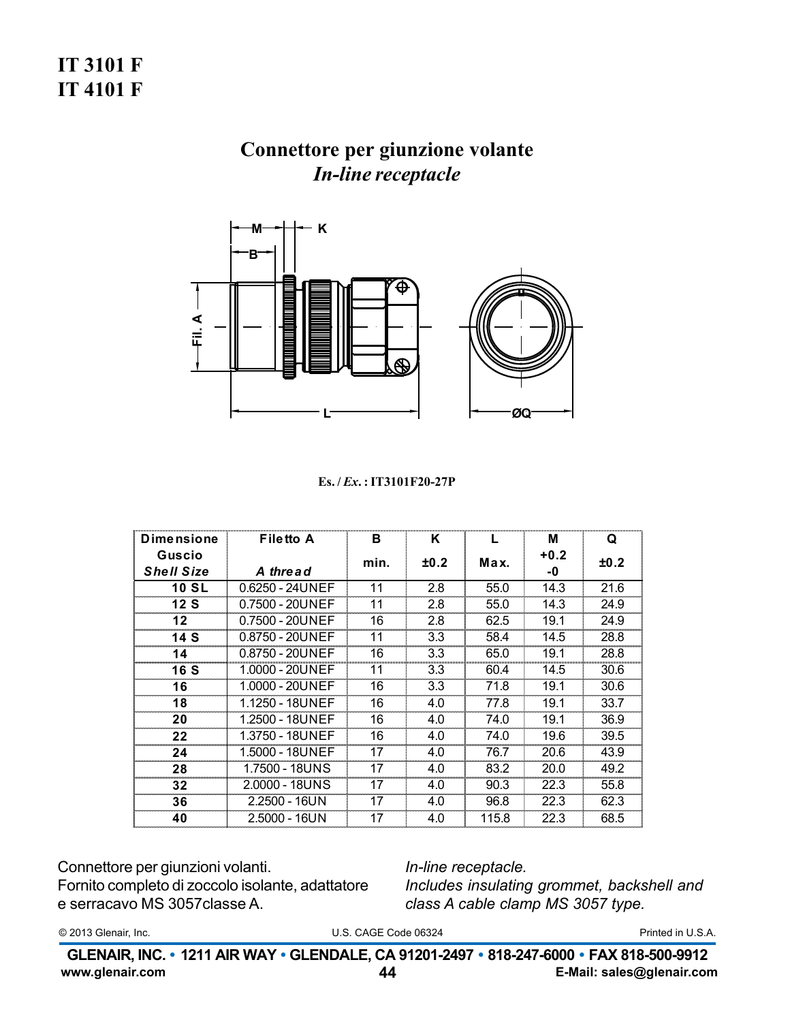# **IT 3101 F IT 4101 F**

## Connettore per giunzione volante **In-line receptacle**



#### Es./*Ex.*: IT3101F20-27P

| <b>Dimensione</b>           | <b>Filetto A</b> | в    | Κ    | L     | м            | Q    |
|-----------------------------|------------------|------|------|-------|--------------|------|
| Guscio<br><b>Shell Size</b> | A thread         | min. | ±0.2 | Max.  | $+0.2$<br>-0 | ±0.2 |
| <b>10 SL</b>                | 0.6250 - 24UNEF  | 11   | 2.8  | 55.0  | 14.3         | 21.6 |
| 12 S                        | 0.7500 - 20UNEF  | 11   | 2.8  | 55.0  | 14.3         | 24.9 |
| $12 \,$                     | 0.7500 - 20UNEF  | 16   | 2.8  | 62.5  | 19.1         | 24.9 |
| 14S                         | 0.8750 - 20UNEF  | 11   | 3.3  | 58.4  | 14.5         | 28.8 |
| 14                          | 0.8750 - 20UNEF  | 16   | 3.3  | 65.0  | 19.1         | 28.8 |
| 16 S                        | 1.0000 - 20UNEF  | 11   | 3.3  | 60.4  | 14.5         | 30.6 |
| 16                          | 1.0000 - 20UNEF  | 16   | 3.3  | 71.8  | 19.1         | 30.6 |
| 18                          | 1.1250 - 18UNEF  | 16   | 4.0  | 77.8  | 19.1         | 33.7 |
| 20                          | 1.2500 - 18UNEF  | 16   | 4.0  | 74.0  | 19.1         | 36.9 |
| 22                          | 1.3750 - 18UNEF  | 16   | 4.0  | 74.0  | 19.6         | 39.5 |
| 24                          | 1.5000 - 18UNEF  | 17   | 4.0  | 76.7  | 20.6         | 43.9 |
| 28                          | 1.7500 - 18UNS   | 17   | 4.0  | 83.2  | 20.0         | 49.2 |
| 32                          | 2.0000 - 18UNS   | 17   | 4.0  | 90.3  | 22.3         | 55.8 |
| 36                          | 2.2500 - 16UN    | 17   | 4.0  | 96.8  | 22.3         | 62.3 |
| 40                          | 2.5000 - 16UN    | 17   | 4.0  | 115.8 | 22.3         | 68.5 |

Connettore per giunzioni volanti. Fornito completo di zoccolo isolante, adattatore e serracavo MS 3057 classe A.

In-line receptacle. Includes insulating grommet, backshell and class A cable clamp MS 3057 type.

© 2013 Glenair, Inc.

U.S. CAGE Code 06324

Printed in U.S.A.

GLENAIR, INC. • 1211 AIR WAY • GLENDALE, CA 91201-2497 • 818-247-6000 • FAX 818-500-9912 www.glenair.com E-Mail: sales@glenair.com 44